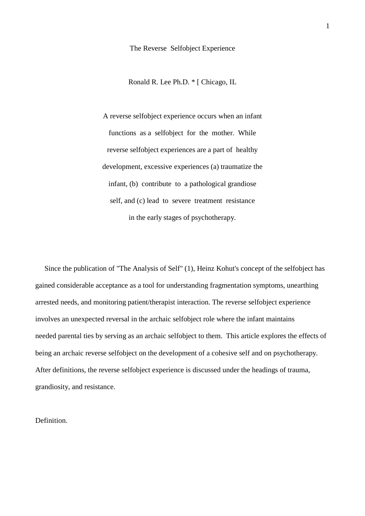The Reverse Selfobject Experience

Ronald R. Lee Ph.D. \* [ Chicago, IL

A reverse selfobject experience occurs when an infant functions as a selfobject for the mother. While reverse selfobject experiences are a part of healthy development, excessive experiences (a) traumatize the infant, (b) contribute to a pathological grandiose self, and (c) lead to severe treatment resistance in the early stages of psychotherapy.

 Since the publication of "The Analysis of Self" (1), Heinz Kohut's concept of the selfobject has gained considerable acceptance as a tool for understanding fragmentation symptoms, unearthing arrested needs, and monitoring patient/therapist interaction. The reverse selfobject experience involves an unexpected reversal in the archaic selfobject role where the infant maintains needed parental ties by serving as an archaic selfobject to them. This article explores the effects of being an archaic reverse selfobject on the development of a cohesive self and on psychotherapy. After definitions, the reverse selfobject experience is discussed under the headings of trauma, grandiosity, and resistance.

Definition.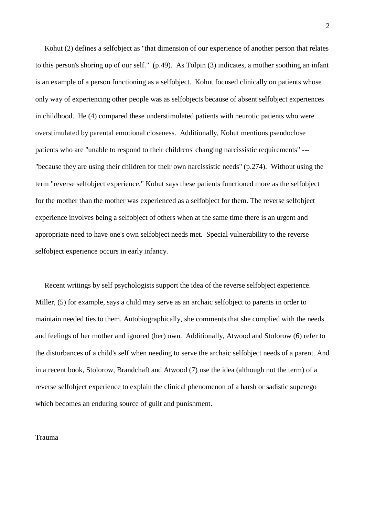Kohut (2) defines a selfobject as "that dimension of our experience of another person that relates to this person's shoring up of our self." (p.49). As Tolpin (3) indicates, a mother soothing an infant is an example of a person functioning as a selfobject. Kohut focused clinically on patients whose only way of experiencing other people was as selfobjects because of absent selfobject experiences in childhood. He (4) compared these understimulated patients with neurotic patients who were overstimulated by parental emotional closeness. Additionally, Kohut mentions pseudoclose patients who are "unable to respond to their childrens' changing narcissistic requirements" --- "because they are using their children for their own narcissistic needs" (p.274). Without using the term "reverse selfobject experience," Kohut says these patients functioned more as the selfobject for the mother than the mother was experienced as a selfobject for them. The reverse selfobject experience involves being a selfobject of others when at the same time there is an urgent and appropriate need to have one's own selfobject needs met. Special vulnerability to the reverse selfobject experience occurs in early infancy.

 Recent writings by self psychologists support the idea of the reverse selfobject experience. Miller, (5) for example, says a child may serve as an archaic selfobject to parents in order to maintain needed ties to them. Autobiographically, she comments that she complied with the needs and feelings of her mother and ignored (her) own. Additionally, Atwood and Stolorow (6) refer to the disturbances of a child's self when needing to serve the archaic selfobject needs of a parent. And in a recent book, Stolorow, Brandchaft and Atwood (7) use the idea (although not the term) of a reverse selfobject experience to explain the clinical phenomenon of a harsh or sadistic superego which becomes an enduring source of guilt and punishment.

## Trauma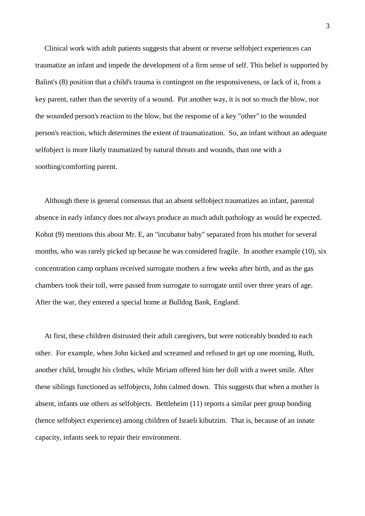Clinical work with adult patients suggests that absent or reverse selfobject experiences can traumatize an infant and impede the development of a firm sense of self. This belief is supported by Balint's (8) position that a child's trauma is contingent on the responsiveness, or lack of it, from a key parent, rather than the severity of a wound. Put another way, it is not so much the blow, nor the wounded person's reaction to the blow, but the response of a key "other" to the wounded person's reaction, which determines the extent of traumatization. So, an infant without an adequate selfobject is more likely traumatized by natural threats and wounds, than one with a soothing/comforting parent.

 Although there is general consensus that an absent selfobject traumatizes an infant, parental absence in early infancy does not always produce as much adult pathology as would be expected. Kohut (9) mentions this about Mr. E, an "incubator baby" separated from his mother for several months, who was rarely picked up because he was considered fragile. In another example (10), six concentration camp orphans received surrogate mothers a few weeks after birth, and as the gas chambers took their toll, were passed from surrogate to surrogate until over three years of age. After the war, they entered a special home at Bulldog Bank, England.

 At first, these children distrusted their adult caregivers, but were noticeably bonded to each other. For example, when John kicked and screamed and refused to get up one morning, Ruth, another child, brought his clothes, while Miriam offered him her doll with a sweet smile. After these siblings functioned as selfobjects, John calmed down. This suggests that when a mother is absent, infants use others as selfobjects. Bettleheim (11) reports a similar peer group bonding (hence selfobject experience) among children of Israeli kibutzim. That is, because of an innate capacity, infants seek to repair their environment.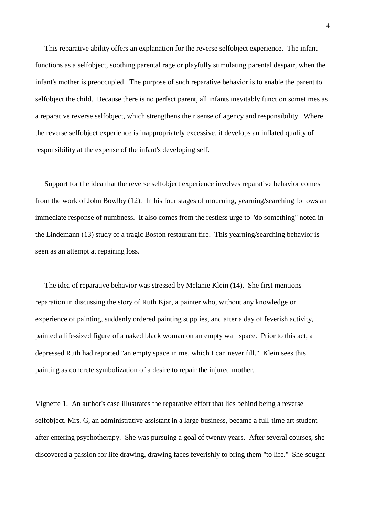This reparative ability offers an explanation for the reverse selfobject experience. The infant functions as a selfobject, soothing parental rage or playfully stimulating parental despair, when the infant's mother is preoccupied. The purpose of such reparative behavior is to enable the parent to selfobject the child. Because there is no perfect parent, all infants inevitably function sometimes as a reparative reverse selfobject, which strengthens their sense of agency and responsibility. Where the reverse selfobject experience is inappropriately excessive, it develops an inflated quality of responsibility at the expense of the infant's developing self.

 Support for the idea that the reverse selfobject experience involves reparative behavior comes from the work of John Bowlby (12). In his four stages of mourning, yearning/searching follows an immediate response of numbness. It also comes from the restless urge to "do something" noted in the Lindemann (13) study of a tragic Boston restaurant fire. This yearning/searching behavior is seen as an attempt at repairing loss.

 The idea of reparative behavior was stressed by Melanie Klein (14). She first mentions reparation in discussing the story of Ruth Kjar, a painter who, without any knowledge or experience of painting, suddenly ordered painting supplies, and after a day of feverish activity, painted a life-sized figure of a naked black woman on an empty wall space. Prior to this act, a depressed Ruth had reported "an empty space in me, which I can never fill." Klein sees this painting as concrete symbolization of a desire to repair the injured mother.

Vignette 1. An author's case illustrates the reparative effort that lies behind being a reverse selfobject. Mrs. G, an administrative assistant in a large business, became a full-time art student after entering psychotherapy. She was pursuing a goal of twenty years. After several courses, she discovered a passion for life drawing, drawing faces feverishly to bring them "to life." She sought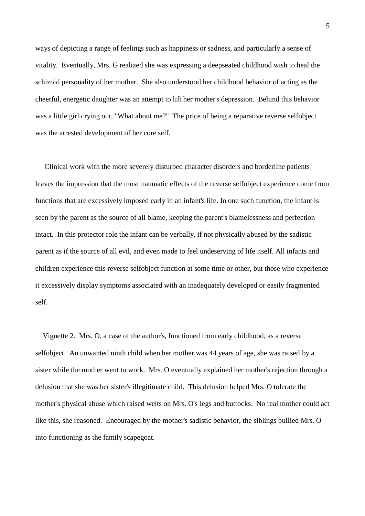ways of depicting a range of feelings such as happiness or sadness, and particularly a sense of vitality. Eventually, Mrs. G realized she was expressing a deepseated childhood wish to heal the schizoid personality of her mother. She also understood her childhood behavior of acting as the cheerful, energetic daughter was an attempt to lift her mother's depression. Behind this behavior was a little girl crying out, "What about me?" The price of being a reparative reverse selfobject was the arrested development of her core self.

 Clinical work with the more severely disturbed character disorders and borderline patients leaves the impression that the most traumatic effects of the reverse selfobject experience come from functions that are excessively imposed early in an infant's life. In one such function, the infant is seen by the parent as the source of all blame, keeping the parent's blamelessness and perfection intact. In this protector role the infant can be verbally, if not physically abused by the sadistic parent as if the source of all evil, and even made to feel undeserving of life itself. All infants and children experience this reverse selfobject function at some time or other, but those who experience it excessively display symptoms associated with an inadequately developed or easily fragmented self.

 Vignette 2. Mrs. O, a case of the author's, functioned from early childhood, as a reverse selfobject. An unwanted ninth child when her mother was 44 years of age, she was raised by a sister while the mother went to work. Mrs. O eventually explained her mother's rejection through a delusion that she was her sister's illegitimate child. This delusion helped Mrs. O tolerate the mother's physical abuse which raised welts on Mrs. O's legs and buttocks. No real mother could act like this, she reasoned. Encouraged by the mother's sadistic behavior, the siblings bullied Mrs. O into functioning as the family scapegoat.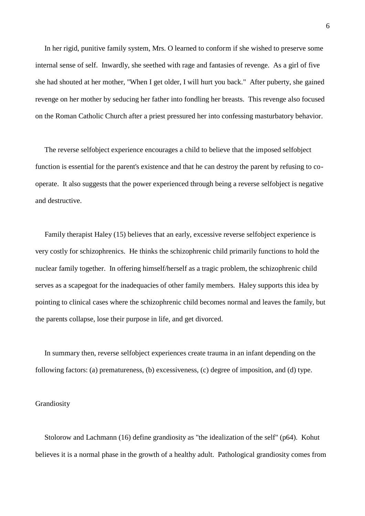In her rigid, punitive family system, Mrs. O learned to conform if she wished to preserve some internal sense of self. Inwardly, she seethed with rage and fantasies of revenge. As a girl of five she had shouted at her mother, "When I get older, I will hurt you back." After puberty, she gained revenge on her mother by seducing her father into fondling her breasts. This revenge also focused on the Roman Catholic Church after a priest pressured her into confessing masturbatory behavior.

 The reverse selfobject experience encourages a child to believe that the imposed selfobject function is essential for the parent's existence and that he can destroy the parent by refusing to cooperate. It also suggests that the power experienced through being a reverse selfobject is negative and destructive.

 Family therapist Haley (15) believes that an early, excessive reverse selfobject experience is very costly for schizophrenics. He thinks the schizophrenic child primarily functions to hold the nuclear family together. In offering himself/herself as a tragic problem, the schizophrenic child serves as a scapegoat for the inadequacies of other family members. Haley supports this idea by pointing to clinical cases where the schizophrenic child becomes normal and leaves the family, but the parents collapse, lose their purpose in life, and get divorced.

 In summary then, reverse selfobject experiences create trauma in an infant depending on the following factors: (a) prematureness, (b) excessiveness, (c) degree of imposition, and (d) type.

#### Grandiosity

 Stolorow and Lachmann (16) define grandiosity as "the idealization of the self" (p64). Kohut believes it is a normal phase in the growth of a healthy adult. Pathological grandiosity comes from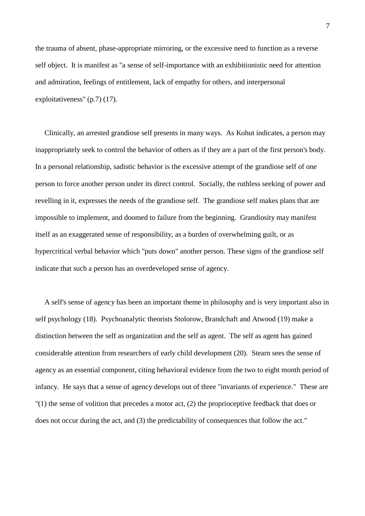the trauma of absent, phase-appropriate mirroring, or the excessive need to function as a reverse self object. It is manifest as "a sense of self-importance with an exhibitionistic need for attention and admiration, feelings of entitlement, lack of empathy for others, and interpersonal exploitativeness" (p.7) (17).

 Clinically, an arrested grandiose self presents in many ways. As Kohut indicates, a person may inappropriately seek to control the behavior of others as if they are a part of the first person's body. In a personal relationship, sadistic behavior is the excessive attempt of the grandiose self of one person to force another person under its direct control. Socially, the ruthless seeking of power and revelling in it, expresses the needs of the grandiose self. The grandiose self makes plans that are impossible to implement, and doomed to failure from the beginning. Grandiosity may manifest itself as an exaggerated sense of responsibility, as a burden of overwhelming guilt, or as hypercritical verbal behavior which "puts down" another person. These signs of the grandiose self indicate that such a person has an overdeveloped sense of agency.

 A self's sense of agency has been an important theme in philosophy and is very important also in self psychology (18). Psychoanalytic theorists Stolorow, Brandchaft and Atwood (19) make a distinction between the self as organization and the self as agent. The self as agent has gained considerable attention from researchers of early child development (20). Stearn sees the sense of agency as an essential component, citing behavioral evidence from the two to eight month period of infancy. He says that a sense of agency develops out of three "invariants of experience." These are "(1) the sense of volition that precedes a motor act, (2) the proprioceptive feedback that does or does not occur during the act, and (3) the predictability of consequences that follow the act."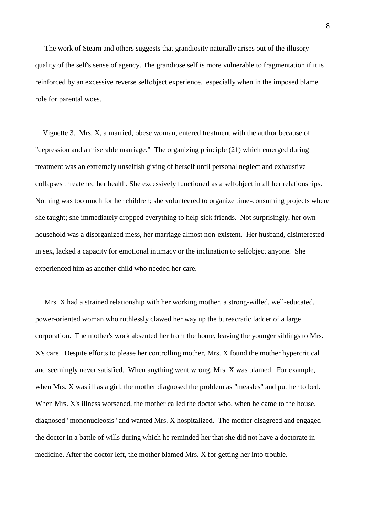The work of Stearn and others suggests that grandiosity naturally arises out of the illusory quality of the self's sense of agency. The grandiose self is more vulnerable to fragmentation if it is reinforced by an excessive reverse selfobject experience, especially when in the imposed blame role for parental woes.

 Vignette 3. Mrs. X, a married, obese woman, entered treatment with the author because of "depression and a miserable marriage." The organizing principle (21) which emerged during treatment was an extremely unselfish giving of herself until personal neglect and exhaustive collapses threatened her health. She excessively functioned as a selfobject in all her relationships. Nothing was too much for her children; she volunteered to organize time-consuming projects where she taught; she immediately dropped everything to help sick friends. Not surprisingly, her own household was a disorganized mess, her marriage almost non-existent. Her husband, disinterested in sex, lacked a capacity for emotional intimacy or the inclination to selfobject anyone. She experienced him as another child who needed her care.

 Mrs. X had a strained relationship with her working mother, a strong-willed, well-educated, power-oriented woman who ruthlessly clawed her way up the bureacratic ladder of a large corporation. The mother's work absented her from the home, leaving the younger siblings to Mrs. X's care. Despite efforts to please her controlling mother, Mrs. X found the mother hypercritical and seemingly never satisfied. When anything went wrong, Mrs. X was blamed. For example, when Mrs. X was ill as a girl, the mother diagnosed the problem as "measles" and put her to bed. When Mrs. X's illness worsened, the mother called the doctor who, when he came to the house, diagnosed "mononucleosis" and wanted Mrs. X hospitalized. The mother disagreed and engaged the doctor in a battle of wills during which he reminded her that she did not have a doctorate in medicine. After the doctor left, the mother blamed Mrs. X for getting her into trouble.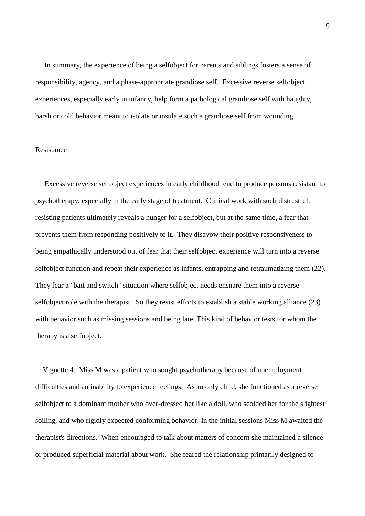In summary, the experience of being a selfobject for parents and siblings fosters a sense of responsibility, agency, and a phase-appropriate grandiose self. Excessive reverse selfobject experiences, especially early in infancy, help form a pathological grandiose self with haughty, harsh or cold behavior meant to isolate or insulate such a grandiose self from wounding.

# Resistance

 Excessive reverse selfobject experiences in early childhood tend to produce persons resistant to psychotherapy, especially in the early stage of treatment. Clinical work with such distrustful, resisting patients ultimately reveals a hunger for a selfobject, but at the same time, a fear that prevents them from responding positively to it. They disavow their positive responsiveness to being empathically understood out of fear that their selfobject experience will turn into a reverse selfobject function and repeat their experience as infants, entrapping and retraumatizing them (22). They fear a "bait and switch" situation where selfobject needs ensnare them into a reverse selfobject role with the therapist. So they resist efforts to establish a stable working alliance (23) with behavior such as missing sessions and being late. This kind of behavior tests for whom the therapy is a selfobject.

 Vignette 4. Miss M was a patient who sought psychotherapy because of unemployment difficulties and an inability to experience feelings. As an only child, she functioned as a reverse selfobject to a dominant mother who over-dressed her like a doll, who scolded her for the slightest soiling, and who rigidly expected conforming behavior. In the initial sessions Miss M awaited the therapist's directions. When encouraged to talk about matters of concern she maintained a silence or produced superficial material about work. She feared the relationship primarily designed to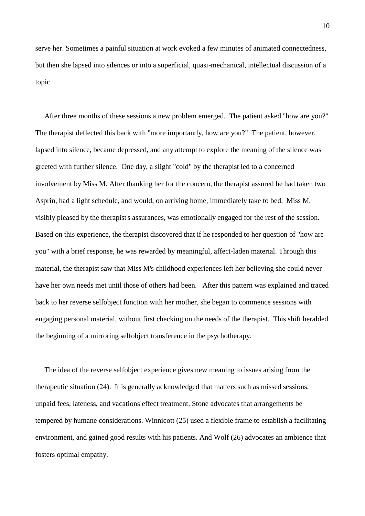serve her. Sometimes a painful situation at work evoked a few minutes of animated connectedness, but then she lapsed into silences or into a superficial, quasi-mechanical, intellectual discussion of a topic.

 After three months of these sessions a new problem emerged. The patient asked "how are you?" The therapist deflected this back with "more importantly, how are you?" The patient, however, lapsed into silence, became depressed, and any attempt to explore the meaning of the silence was greeted with further silence. One day, a slight "cold" by the therapist led to a concerned involvement by Miss M. After thanking her for the concern, the therapist assured he had taken two Asprin, had a light schedule, and would, on arriving home, immediately take to bed. Miss M, visibly pleased by the therapist's assurances, was emotionally engaged for the rest of the session. Based on this experience, the therapist discovered that if he responded to her question of "how are you" with a brief response, he was rewarded by meaningful, affect-laden material. Through this material, the therapist saw that Miss M's childhood experiences left her believing she could never have her own needs met until those of others had been. After this pattern was explained and traced back to her reverse selfobject function with her mother, she began to commence sessions with engaging personal material, without first checking on the needs of the therapist. This shift heralded the beginning of a mirroring selfobject transference in the psychotherapy.

 The idea of the reverse selfobject experience gives new meaning to issues arising from the therapeutic situation (24). It is generally acknowledged that matters such as missed sessions, unpaid fees, lateness, and vacations effect treatment. Stone advocates that arrangements be tempered by humane considerations. Winnicott (25) used a flexible frame to establish a facilitating environment, and gained good results with his patients. And Wolf (26) advocates an ambience that fosters optimal empathy.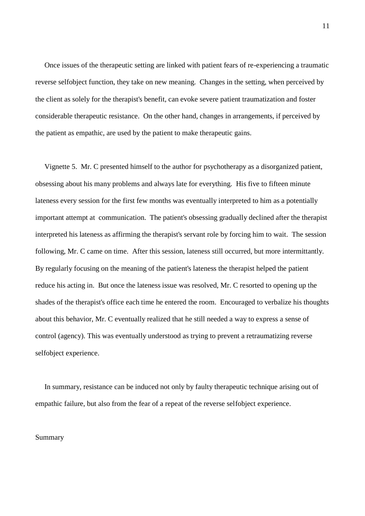Once issues of the therapeutic setting are linked with patient fears of re-experiencing a traumatic reverse selfobject function, they take on new meaning. Changes in the setting, when perceived by the client as solely for the therapist's benefit, can evoke severe patient traumatization and foster considerable therapeutic resistance. On the other hand, changes in arrangements, if perceived by the patient as empathic, are used by the patient to make therapeutic gains.

 Vignette 5. Mr. C presented himself to the author for psychotherapy as a disorganized patient, obsessing about his many problems and always late for everything. His five to fifteen minute lateness every session for the first few months was eventually interpreted to him as a potentially important attempt at communication. The patient's obsessing gradually declined after the therapist interpreted his lateness as affirming the therapist's servant role by forcing him to wait. The session following, Mr. C came on time. After this session, lateness still occurred, but more intermittantly. By regularly focusing on the meaning of the patient's lateness the therapist helped the patient reduce his acting in. But once the lateness issue was resolved, Mr. C resorted to opening up the shades of the therapist's office each time he entered the room. Encouraged to verbalize his thoughts about this behavior, Mr. C eventually realized that he still needed a way to express a sense of control (agency). This was eventually understood as trying to prevent a retraumatizing reverse selfobject experience.

 In summary, resistance can be induced not only by faulty therapeutic technique arising out of empathic failure, but also from the fear of a repeat of the reverse selfobject experience.

## Summary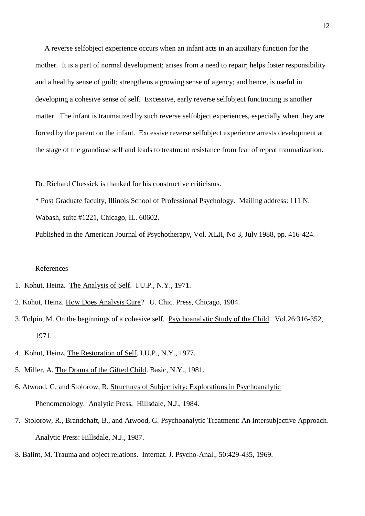A reverse selfobject experience occurs when an infant acts in an auxiliary function for the mother. It is a part of normal development; arises from a need to repair; helps foster responsibility and a healthy sense of guilt; strengthens a growing sense of agency; and hence, is useful in developing a cohesive sense of self. Excessive, early reverse selfobject functioning is another matter. The infant is traumatized by such reverse selfobject experiences, especially when they are forced by the parent on the infant. Excessive reverse selfobject experience arrests development at the stage of the grandiose self and leads to treatment resistance from fear of repeat traumatization.

Dr. Richard Chessick is thanked for his constructive criticisms.

\* Post Graduate faculty, Illinois School of Professional Psychology. Mailing address: 111 N. Wabash, suite #1221, Chicago, IL. 60602.

Published in the American Journal of Psychotherapy, Vol. XLII, No 3, July 1988, pp. 416-424.

## References

- 1. Kohut, Heinz. The Analysis of Self. I.U.P., N.Y., 1971.
- 2. Kohut, Heinz. How Does Analysis Cure? U. Chic. Press, Chicago, 1984.
- 3. Tolpin, M. On the beginnings of a cohesive self. Psychoanalytic Study of the Child. Vol.26:316-352, 1971.
- 4. Kohut, Heinz. The Restoration of Self. I.U.P., N.Y., 1977.
- 5. Miller, A. The Drama of the Gifted Child. Basic, N.Y., 1981.
- 6. Atwood, G. and Stolorow, R. Structures of Subjectivity: Explorations in Psychoanalytic Phenomenology. Analytic Press, Hillsdale, N.J., 1984.
- 7. Stolorow, R., Brandchaft, B., and Atwood, G. Psychoanalytic Treatment: An Intersubjective Approach. Analytic Press: Hillsdale, N.J., 1987.
- 8. Balint, M. Trauma and object relations. Internat. J. Psycho-Anal., 50:429-435, 1969.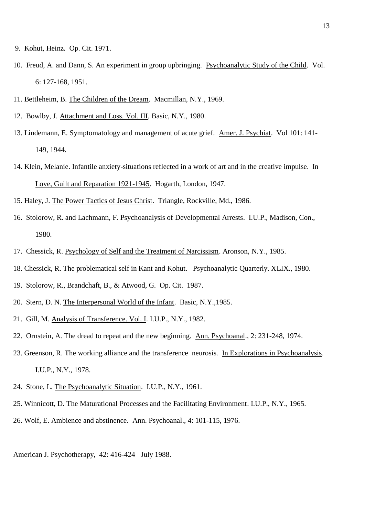- 9. Kohut, Heinz. Op. Cit. 1971.
- 10. Freud, A. and Dann, S. An experiment in group upbringing. Psychoanalytic Study of the Child. Vol. 6: 127-168, 1951.
- 11. Bettleheim, B. The Children of the Dream. Macmillan, N.Y., 1969.
- 12. Bowlby, J. Attachment and Loss. Vol. III, Basic, N.Y., 1980.
- 13. Lindemann, E. Symptomatology and management of acute grief. Amer. J. Psychiat. Vol 101: 141- 149, 1944.
- 14. Klein, Melanie. Infantile anxiety-situations reflected in a work of art and in the creative impulse. In Love, Guilt and Reparation 1921-1945. Hogarth, London, 1947.
- 15. Haley, J. The Power Tactics of Jesus Christ. Triangle, Rockville, Md., 1986.
- 16. Stolorow, R. and Lachmann, F. Psychoanalysis of Developmental Arrests. I.U.P., Madison, Con., 1980.
- 17. Chessick, R. Psychology of Self and the Treatment of Narcissism. Aronson, N.Y., 1985.
- 18. Chessick, R. The problematical self in Kant and Kohut. Psychoanalytic Quarterly. XLIX., 1980.
- 19. Stolorow, R., Brandchaft, B., & Atwood, G. Op. Cit. 1987.
- 20. Stern, D. N. The Interpersonal World of the Infant. Basic, N.Y.,1985.
- 21. Gill, M. Analysis of Transference. Vol. I. I.U.P., N.Y., 1982.
- 22. Ornstein, A. The dread to repeat and the new beginning. Ann. Psychoanal., 2: 231-248, 1974.
- 23. Greenson, R. The working alliance and the transference neurosis. In Explorations in Psychoanalysis. I.U.P., N.Y., 1978.
- 24. Stone, L. The Psychoanalytic Situation. I.U.P., N.Y., 1961.
- 25. Winnicott, D. The Maturational Processes and the Facilitating Environment. I.U.P., N.Y., 1965.
- 26. Wolf, E. Ambience and abstinence. Ann. Psychoanal., 4: 101-115, 1976.

American J. Psychotherapy, 42: 416-424 July 1988.